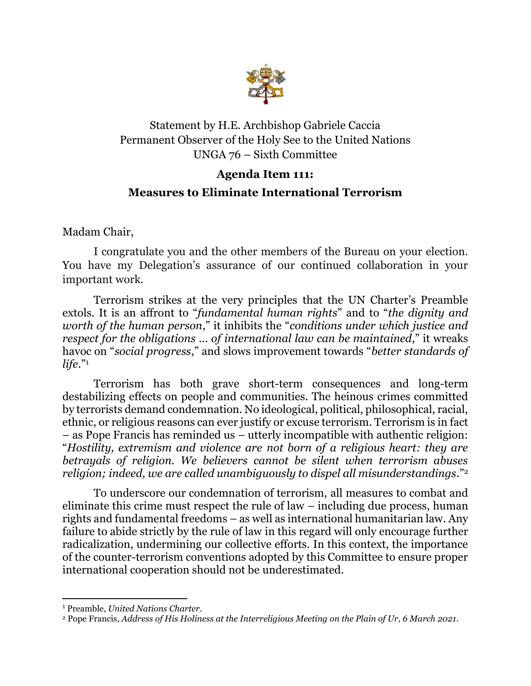

## Statement by H.E. Archbishop Gabriele Caccia Permanent Observer of the Holy See to the United Nations UNGA 76 – Sixth Committee

## **Agenda Item 111:**

## **Measures to Eliminate International Terrorism**

Madam Chair,

I congratulate you and the other members of the Bureau on your election. You have my Delegation's assurance of our continued collaboration in your important work.

Terrorism strikes at the very principles that the UN Charter's Preamble extols. It is an affront to "*fundamental human rights*" and to "*the dignity and worth of the human person*," it inhibits the "*conditions under which justice and respect for the obligations ... of international law can be maintained*," it wreaks havoc on "*social progress*," and slows improvement towards "*better standards of life*."<sup>1</sup>

Terrorism has both grave short-term consequences and long-term destabilizing effects on people and communities. The heinous crimes committed by terrorists demand condemnation. No ideological, political, philosophical, racial, ethnic, or religious reasons can ever justify or excuse terrorism. Terrorism is in fact – as Pope Francis has reminded us – utterly incompatible with authentic religion: "*Hostility, extremism and violence are not born of a religious heart: they are betrayals of religion. We believers cannot be silent when terrorism abuses religion; indeed, we are called unambiguously to dispel all misunderstandings*."<sup>2</sup>

To underscore our condemnation of terrorism, all measures to combat and eliminate this crime must respect the rule of law – including due process, human rights and fundamental freedoms – as well as international humanitarian law. Any failure to abide strictly by the rule of law in this regard will only encourage further radicalization, undermining our collective efforts. In this context, the importance of the counter-terrorism conventions adopted by this Committee to ensure proper international cooperation should not be underestimated.

<sup>1</sup> Preamble, *United Nations Charter*.

<sup>2</sup> Pope Francis, *Address of His Holiness at the Interreligious Meeting on the Plain of Ur*, *6 March 2021.*